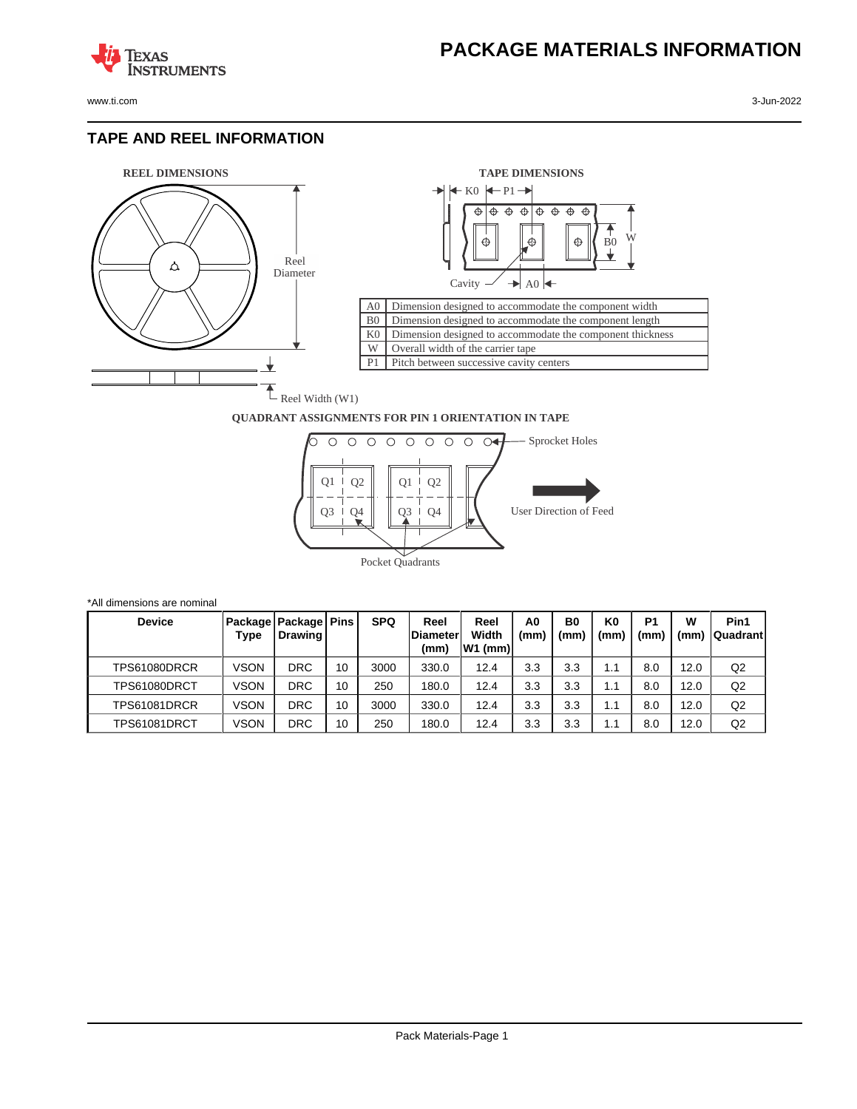

**TEXAS** 

## **TAPE AND REEL INFORMATION**

**STRUMENTS** 



\*All dimensions are nominal



## **QUADRANT ASSIGNMENTS FOR PIN 1 ORIENTATION IN TAPE**



| <b>Device</b> | Type | Package   Package   Pins<br>Drawing I |    | <b>SPQ</b> | Reel<br><b>Diameter</b><br>(mm) | Reel<br>Width<br>lW1 (mm)l | A0<br>(mm) | B <sub>0</sub><br>(mm) | K0<br>(mm) | P <sub>1</sub><br>(mm | w<br>(mm) | Pin1<br><b>Quadrant</b> |
|---------------|------|---------------------------------------|----|------------|---------------------------------|----------------------------|------------|------------------------|------------|-----------------------|-----------|-------------------------|
| TPS61080DRCR  | VSON | DRC                                   | 10 | 3000       | 330.0                           | 12.4                       | 3.3        | 3.3                    | 1.1        | 8.0                   | 12.0      | Q2                      |
| TPS61080DRCT  | VSON | DRC                                   | 10 | 250        | 180.0                           | 12.4                       | 3.3        | 3.3                    | 1.1        | 8.0                   | 12.0      | Q <sub>2</sub>          |
| TPS61081DRCR  | ∨SON | <b>DRC</b>                            | 10 | 3000       | 330.0                           | 12.4                       | 3.3        | 3.3                    | 1.1        | 8.0                   | 12.0      | Q <sub>2</sub>          |
| TPS61081DRCT  | ∨SON | DRC                                   | 10 | 250        | 180.0                           | 12.4                       | 3.3        | 3.3                    | 1.1        | 8.0                   | 12.0      | Q <sub>2</sub>          |